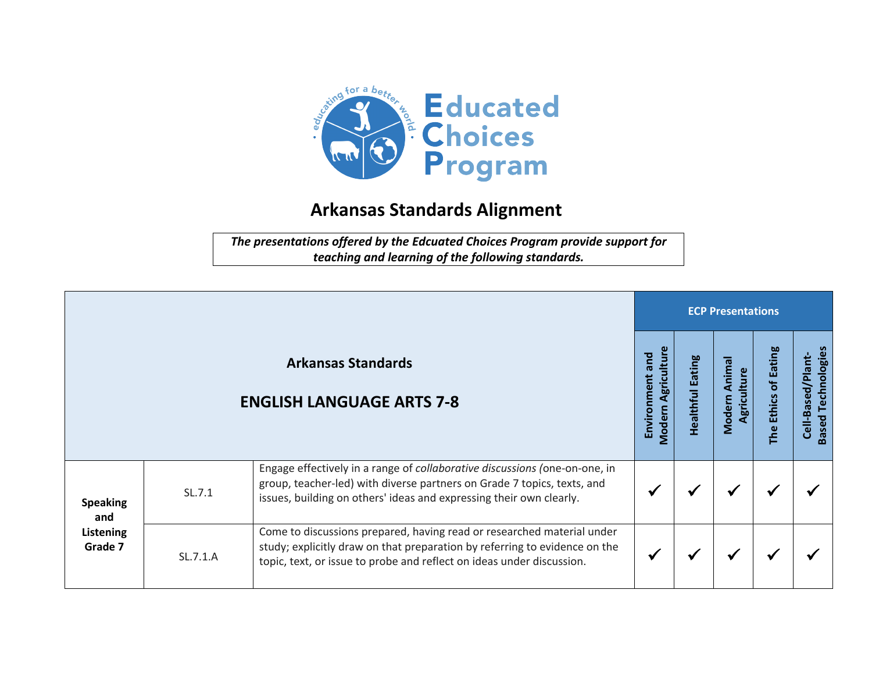

## **Arkansas Standards Alignment**

*The presentations offered by the Edcuated Choices Program provide support for teaching and learning of the following standards.*

|                                                |          |                                                                                                                                                                                                                               | <b>ECP Presentations</b>              |                     |                                |                                   |                                                   |  |  |
|------------------------------------------------|----------|-------------------------------------------------------------------------------------------------------------------------------------------------------------------------------------------------------------------------------|---------------------------------------|---------------------|--------------------------------|-----------------------------------|---------------------------------------------------|--|--|
|                                                |          | <b>Arkansas Standards</b><br><b>ENGLISH LANGUAGE ARTS 7-8</b>                                                                                                                                                                 | Modern Agriculture<br>Environment and | Eating<br>Healthful | Anima<br>Agriculture<br>Modern | of Eating<br><b>Ethics</b><br>The | Technologies<br>Cell-Based/Plant-<br><b>Based</b> |  |  |
| <b>Speaking</b><br>and<br>Listening<br>Grade 7 | SL.7.1   | Engage effectively in a range of collaborative discussions (one-on-one, in<br>group, teacher-led) with diverse partners on Grade 7 topics, texts, and<br>issues, building on others' ideas and expressing their own clearly.  |                                       |                     | ✔                              |                                   |                                                   |  |  |
|                                                | SL.7.1.A | Come to discussions prepared, having read or researched material under<br>study; explicitly draw on that preparation by referring to evidence on the<br>topic, text, or issue to probe and reflect on ideas under discussion. |                                       |                     | ✔                              |                                   |                                                   |  |  |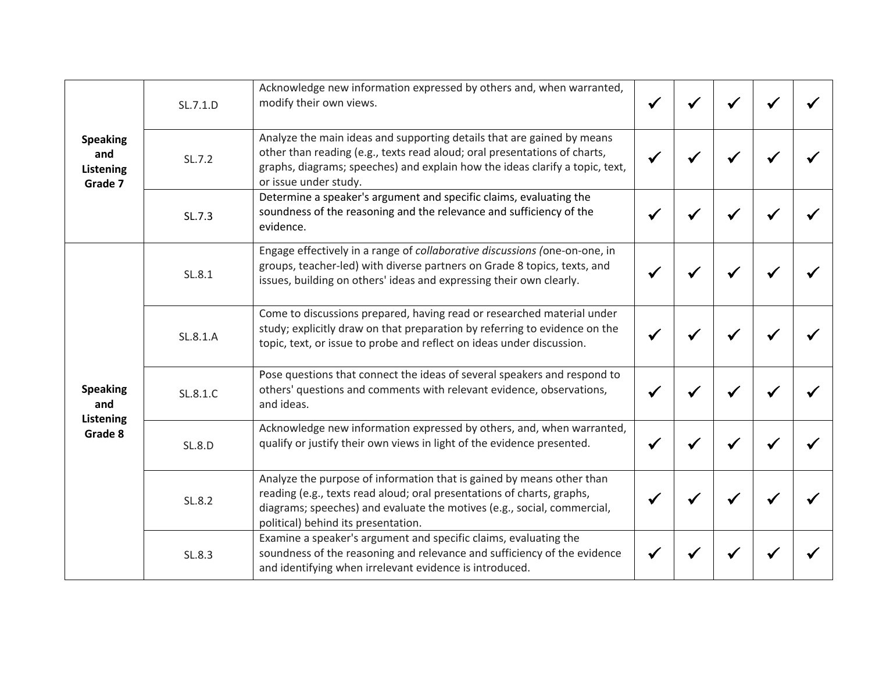| <b>Speaking</b><br>and<br><b>Listening</b><br>Grade 7 | SL.7.1.D      | Acknowledge new information expressed by others and, when warranted,<br>modify their own views.                                                                                                                                                                   | $\checkmark$ |              |  |
|-------------------------------------------------------|---------------|-------------------------------------------------------------------------------------------------------------------------------------------------------------------------------------------------------------------------------------------------------------------|--------------|--------------|--|
|                                                       | SL.7.2        | Analyze the main ideas and supporting details that are gained by means<br>other than reading (e.g., texts read aloud; oral presentations of charts,<br>graphs, diagrams; speeches) and explain how the ideas clarify a topic, text,<br>or issue under study.      |              |              |  |
|                                                       | SL.7.3        | Determine a speaker's argument and specific claims, evaluating the<br>soundness of the reasoning and the relevance and sufficiency of the<br>evidence.                                                                                                            |              |              |  |
| <b>Speaking</b><br>and<br>Listening<br>Grade 8        | SL.8.1        | Engage effectively in a range of collaborative discussions (one-on-one, in<br>groups, teacher-led) with diverse partners on Grade 8 topics, texts, and<br>issues, building on others' ideas and expressing their own clearly.                                     |              |              |  |
|                                                       | SL.8.1.A      | Come to discussions prepared, having read or researched material under<br>study; explicitly draw on that preparation by referring to evidence on the<br>topic, text, or issue to probe and reflect on ideas under discussion.                                     |              |              |  |
|                                                       | SL.8.1.C      | Pose questions that connect the ideas of several speakers and respond to<br>others' questions and comments with relevant evidence, observations,<br>and ideas.                                                                                                    |              |              |  |
|                                                       | <b>SL.8.D</b> | Acknowledge new information expressed by others, and, when warranted,<br>qualify or justify their own views in light of the evidence presented.                                                                                                                   |              |              |  |
|                                                       | SL.8.2        | Analyze the purpose of information that is gained by means other than<br>reading (e.g., texts read aloud; oral presentations of charts, graphs,<br>diagrams; speeches) and evaluate the motives (e.g., social, commercial,<br>political) behind its presentation. |              | $\checkmark$ |  |
|                                                       | SL.8.3        | Examine a speaker's argument and specific claims, evaluating the<br>soundness of the reasoning and relevance and sufficiency of the evidence<br>and identifying when irrelevant evidence is introduced.                                                           |              |              |  |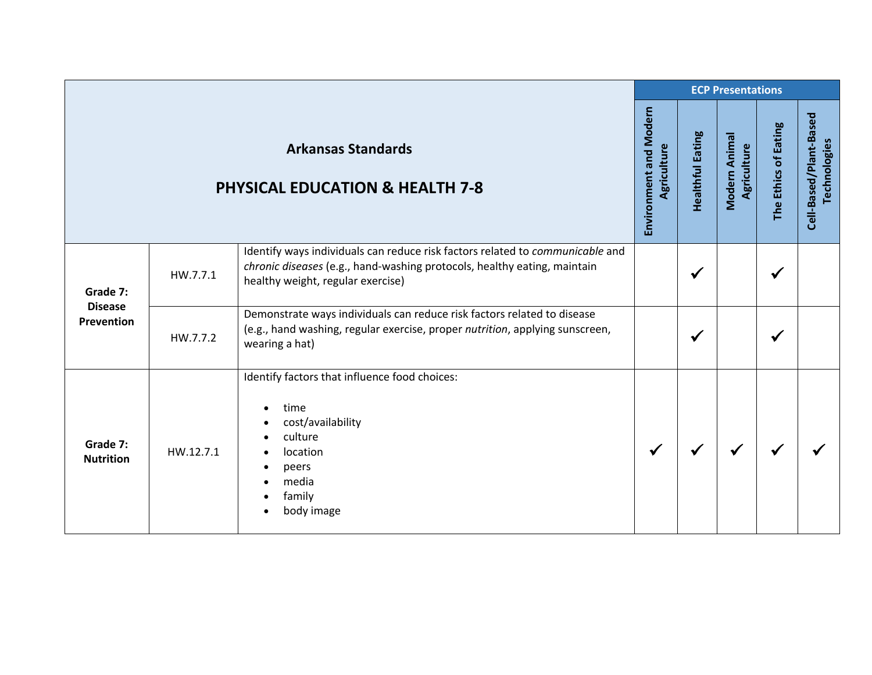|                                                                         |           |                                                                                                                                                                                                | <b>ECP Presentations</b> |                         |                              |                      |                                        |  |  |
|-------------------------------------------------------------------------|-----------|------------------------------------------------------------------------------------------------------------------------------------------------------------------------------------------------|--------------------------|-------------------------|------------------------------|----------------------|----------------------------------------|--|--|
| <b>Arkansas Standards</b><br><b>PHYSICAL EDUCATION &amp; HEALTH 7-8</b> |           |                                                                                                                                                                                                |                          | <b>Healthful Eating</b> | Modern Animal<br>Agriculture | The Ethics of Eating | Cell-Based/Plant-Based<br>Technologies |  |  |
| Grade 7:<br><b>Disease</b><br><b>Prevention</b>                         | HW.7.7.1  | Identify ways individuals can reduce risk factors related to communicable and<br>chronic diseases (e.g., hand-washing protocols, healthy eating, maintain<br>healthy weight, regular exercise) |                          | $\checkmark$            |                              | $\checkmark$         |                                        |  |  |
|                                                                         | HW.7.7.2  | Demonstrate ways individuals can reduce risk factors related to disease<br>(e.g., hand washing, regular exercise, proper nutrition, applying sunscreen,<br>wearing a hat)                      |                          | $\checkmark$            |                              |                      |                                        |  |  |
| Grade 7:<br><b>Nutrition</b>                                            | HW.12.7.1 | Identify factors that influence food choices:<br>time<br>cost/availability<br>culture<br>location<br>peers<br>media<br>family<br>body image<br>$\bullet$                                       | $\checkmark$             |                         |                              |                      |                                        |  |  |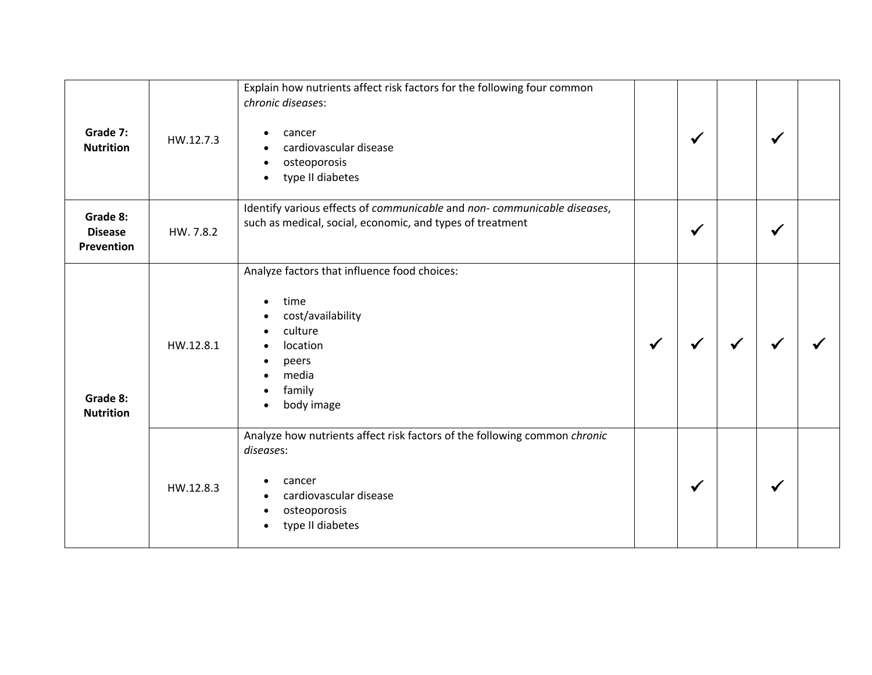| Grade 7:<br><b>Nutrition</b>             | HW.12.7.3 | Explain how nutrients affect risk factors for the following four common<br>chronic diseases:<br>cancer<br>$\bullet$<br>cardiovascular disease<br>osteoporosis<br>$\bullet$<br>type II diabetes<br>$\bullet$ |              | $\checkmark$ | ✔ |  |
|------------------------------------------|-----------|-------------------------------------------------------------------------------------------------------------------------------------------------------------------------------------------------------------|--------------|--------------|---|--|
| Grade 8:<br><b>Disease</b><br>Prevention | HW. 7.8.2 | Identify various effects of communicable and non-communicable diseases,<br>such as medical, social, economic, and types of treatment                                                                        |              | $\checkmark$ | ✔ |  |
| Grade 8:<br><b>Nutrition</b>             | HW.12.8.1 | Analyze factors that influence food choices:<br>time<br>$\bullet$<br>cost/availability<br>$\bullet$<br>culture<br>location<br>$\bullet$<br>peers<br>media<br>family<br>$\bullet$<br>body image<br>$\bullet$ | $\checkmark$ |              |   |  |
|                                          | HW.12.8.3 | Analyze how nutrients affect risk factors of the following common chronic<br>diseases:<br>cancer<br>cardiovascular disease<br>osteoporosis<br>$\bullet$<br>type II diabetes<br>$\bullet$                    |              | $\checkmark$ | ✔ |  |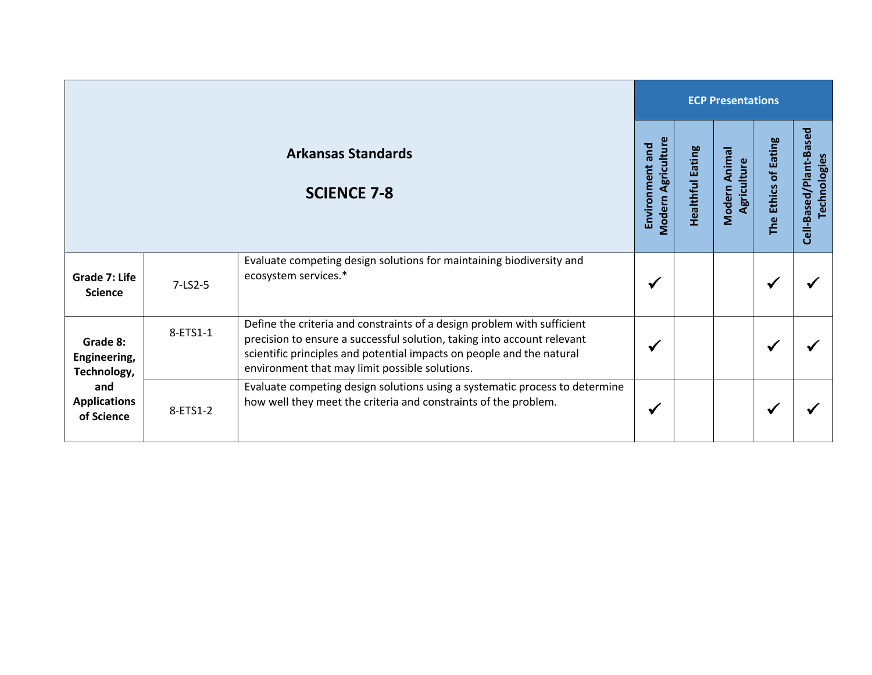|                                                                                     |          |                                                                                                                                                                                                                                                                               |   | <b>ECP Presentations</b> |                              |                      |                                        |  |  |  |
|-------------------------------------------------------------------------------------|----------|-------------------------------------------------------------------------------------------------------------------------------------------------------------------------------------------------------------------------------------------------------------------------------|---|--------------------------|------------------------------|----------------------|----------------------------------------|--|--|--|
| <b>Arkansas Standards</b><br><b>SCIENCE 7-8</b>                                     |          |                                                                                                                                                                                                                                                                               |   | <b>Healthful Eating</b>  | Modern Animal<br>Agriculture | The Ethics of Eating | Cell-Based/Plant-Based<br>Technologies |  |  |  |
| Grade 7: Life<br><b>Science</b>                                                     | 7-LS2-5  | Evaluate competing design solutions for maintaining biodiversity and<br>ecosystem services.*                                                                                                                                                                                  | ✔ |                          |                              | √                    |                                        |  |  |  |
| Grade 8:<br>Engineering,<br>Technology,<br>and<br><b>Applications</b><br>of Science | 8-ETS1-1 | Define the criteria and constraints of a design problem with sufficient<br>precision to ensure a successful solution, taking into account relevant<br>scientific principles and potential impacts on people and the natural<br>environment that may limit possible solutions. | √ |                          |                              | ✔                    |                                        |  |  |  |
|                                                                                     | 8-ETS1-2 | Evaluate competing design solutions using a systematic process to determine<br>how well they meet the criteria and constraints of the problem.                                                                                                                                | √ |                          |                              | √                    |                                        |  |  |  |